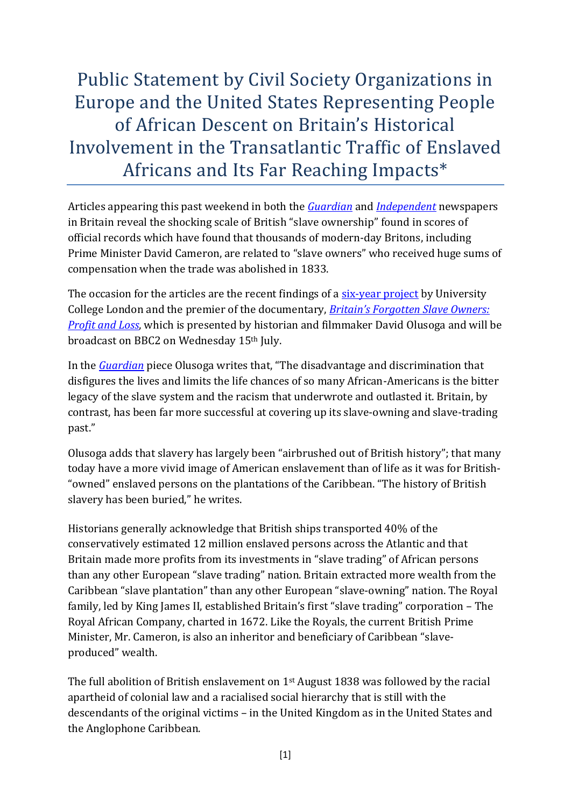Public Statement by Civil Society Organizations in Europe and the United States Representing People of African Descent on Britain's Historical Involvement in the Transatlantic Traffic of Enslaved Africans and Its Far Reaching Impacts\*

Articles appearing this past weekend in both the *[Guardian](http://bit.ly/1Rr8ehY)* and *[Independent](http://ind.pn/1RuGxoi)* newspapers in Britain reveal the shocking scale of British "slave ownership" found in scores of official records which have found that thousands of modern-day Britons, including Prime Minister David Cameron, are related to "slave owners" who received huge sums of compensation when the trade was abolished in 1833.

The occasion for the articles are the recent findings of a [six-year project](https://www.ucl.ac.uk/lbs/) by University College London and the premier of the documentary, *[Britain's Forgotten Slave Owners:](http://www.bbc.co.uk/programmes/b063db18)  [Profit and Loss](http://www.bbc.co.uk/programmes/b063db18)*, which is presented by historian and filmmaker David Olusoga and will be broadcast on BBC2 on Wednesday 15th July.

In the *[Guardian](http://www.theguardian.com/world/2015/jul/12/british-history-slavery-buried-scale-revealed)* piece Olusoga writes that, "The disadvantage and discrimination that disfigures the lives and limits the life chances of so many African-Americans is the bitter legacy of the slave system and the racism that underwrote and outlasted it. Britain, by contrast, has been far more successful at covering up its slave-owning and slave-trading past."

Olusoga adds that slavery has largely been "airbrushed out of British history"; that many today have a more vivid image of American enslavement than of life as it was for British- "owned" enslaved persons on the plantations of the Caribbean. "The history of British slavery has been buried," he writes.

Historians generally acknowledge that British ships transported 40% of the conservatively estimated 12 million enslaved persons across the Atlantic and that Britain made more profits from its investments in "slave trading" of African persons than any other European "slave trading" nation. Britain extracted more wealth from the Caribbean "slave plantation" than any other European "slave-owning" nation. The Royal family, led by King James II, established Britain's first "slave trading" corporation – The Royal African Company, charted in 1672. Like the Royals, the current British Prime Minister, Mr. Cameron, is also an inheritor and beneficiary of Caribbean "slaveproduced" wealth.

The full abolition of British enslavement on 1st August 1838 was followed by the racial apartheid of colonial law and a racialised social hierarchy that is still with the descendants of the original victims – in the United Kingdom as in the United States and the Anglophone Caribbean.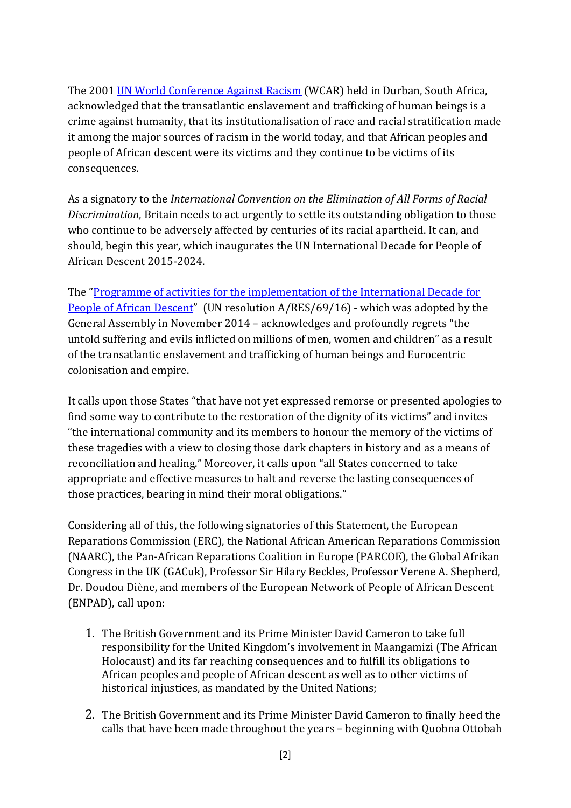The 2001 [UN World Conference Against Racism](http://www.un.org/WCAR/durban.pdf) (WCAR) held in Durban, South Africa, acknowledged that the transatlantic enslavement and trafficking of human beings is a crime against humanity, that its institutionalisation of race and racial stratification made it among the major sources of racism in the world today, and that African peoples and people of African descent were its victims and they continue to be victims of its consequences.

As a signatory to the *International Convention on the Elimination of All Forms of Racial Discrimination*, Britain needs to act urgently to settle its outstanding obligation to those who continue to be adversely affected by centuries of its racial apartheid. It can, and should, begin this year, which inaugurates the UN International Decade for People of African Descent 2015-2024.

The "[Programme of activities for the implementation of the International Decade for](http://www.un.org/en/events/africandescentdecade/pdf/A.RES.69.16_IDPAD.pdf)  [People of African Descent](http://www.un.org/en/events/africandescentdecade/pdf/A.RES.69.16_IDPAD.pdf)" (UN resolution A/RES/69/16) - which was adopted by the General Assembly in November 2014 – acknowledges and profoundly regrets "the untold suffering and evils inflicted on millions of men, women and children" as a result of the transatlantic enslavement and trafficking of human beings and Eurocentric colonisation and empire.

It calls upon those States "that have not yet expressed remorse or presented apologies to find some way to contribute to the restoration of the dignity of its victims" and invites "the international community and its members to honour the memory of the victims of these tragedies with a view to closing those dark chapters in history and as a means of reconciliation and healing." Moreover, it calls upon "all States concerned to take appropriate and effective measures to halt and reverse the lasting consequences of those practices, bearing in mind their moral obligations."

Considering all of this, the following signatories of this Statement, the European Reparations Commission (ERC), the National African American Reparations Commission (NAARC), the Pan-African Reparations Coalition in Europe (PARCOE), the Global Afrikan Congress in the UK (GACuk), Professor Sir Hilary Beckles, Professor Verene A. Shepherd, Dr. Doudou Diène, and members of the European Network of People of African Descent (ENPAD), call upon:

- 1. The British Government and its Prime Minister David Cameron to take full responsibility for the United Kingdom's involvement in Maangamizi (The African Holocaust) and its far reaching consequences and to fulfill its obligations to African peoples and people of African descent as well as to other victims of historical injustices, as mandated by the United Nations;
- 2. The British Government and its Prime Minister David Cameron to finally heed the calls that have been made throughout the years – beginning with Quobna Ottobah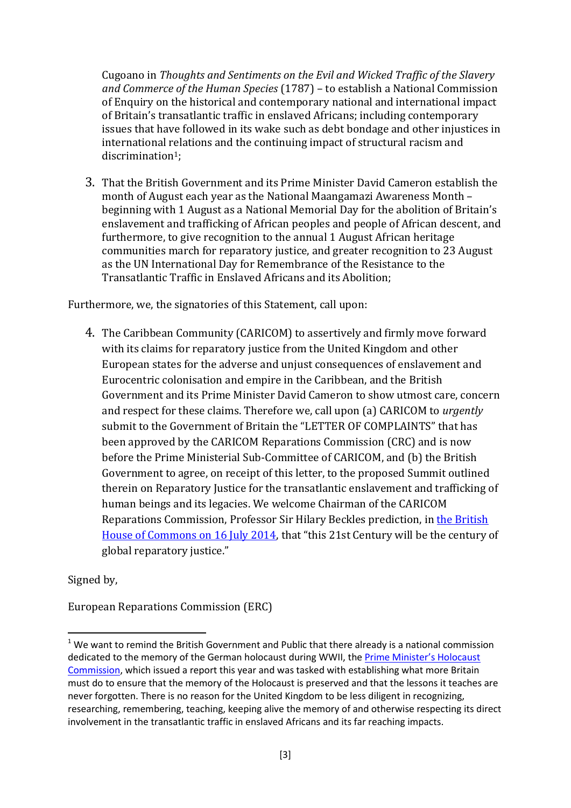Cugoano in *Thoughts and Sentiments on the Evil and Wicked Traffic of the Slavery and Commerce of the Human Species* (1787) – to establish a National Commission of Enquiry on the historical and contemporary national and international impact of Britain's transatlantic traffic in enslaved Africans; including contemporary issues that have followed in its wake such as debt bondage and other injustices in international relations and the continuing impact of structural racism and discrimination1;

3. That the British Government and its Prime Minister David Cameron establish the month of August each year as the National Maangamazi Awareness Month – beginning with 1 August as a National Memorial Day for the abolition of Britain's enslavement and trafficking of African peoples and people of African descent, and furthermore, to give recognition to the annual 1 August African heritage communities march for reparatory justice, and greater recognition to 23 August as the UN International Day for Remembrance of the Resistance to the Transatlantic Traffic in Enslaved Africans and its Abolition;

Furthermore, we, the signatories of this Statement, call upon:

4. The Caribbean Community (CARICOM) to assertively and firmly move forward with its claims for reparatory justice from the United Kingdom and other European states for the adverse and unjust consequences of enslavement and Eurocentric colonisation and empire in the Caribbean, and the British Government and its Prime Minister David Cameron to show utmost care, concern and respect for these claims. Therefore we, call upon (a) CARICOM to *urgently* submit to the Government of Britain the "LETTER OF COMPLAINTS" that has been approved by the CARICOM Reparations Commission (CRC) and is now before the Prime Ministerial Sub-Committee of CARICOM, and (b) the British Government to agree, on receipt of this letter, to the proposed Summit outlined therein on Reparatory Justice for the transatlantic enslavement and trafficking of human beings and its legacies. We welcome Chairman of the CARICOM Reparations Commission, Professor Sir Hilary Beckles prediction, in [the British](http://www.caricom.org/jsp/pressreleases/press_releases_2014/pres188_14.jsp)  [House of Commons on 16 July 2014,](http://www.caricom.org/jsp/pressreleases/press_releases_2014/pres188_14.jsp) that "this 21st Century will be the century of global reparatory justice."

Signed by,

1

European Reparations Commission (ERC)

 $1$  We want to remind the British Government and Public that there already is a national commission dedicated to the memory of the German holocaust during WWII, the *Prime Minister's Holocaust* [Commission,](https://www.gov.uk/government/publications/prime-ministers-holocaust-commission-report) which issued a report this year and was tasked with establishing what more Britain must do to ensure that the memory of the Holocaust is preserved and that the lessons it teaches are never forgotten. There is no reason for the United Kingdom to be less diligent in recognizing, researching, remembering, teaching, keeping alive the memory of and otherwise respecting its direct involvement in the transatlantic traffic in enslaved Africans and its far reaching impacts.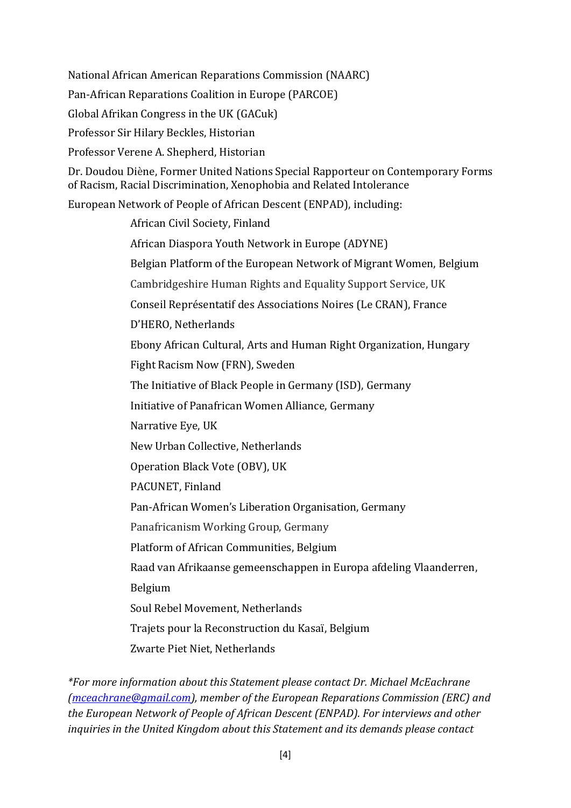National African American Reparations Commission (NAARC) Pan-African Reparations Coalition in Europe (PARCOE) Global Afrikan Congress in the UK (GACuk) Professor Sir Hilary Beckles, Historian Professor Verene A. Shepherd, Historian Dr. Doudou Diène, Former United Nations Special Rapporteur on Contemporary Forms of Racism, Racial Discrimination, Xenophobia and Related Intolerance European Network of People of African Descent (ENPAD), including: African Civil Society, Finland African Diaspora Youth Network in Europe (ADYNE) Belgian Platform of the European Network of Migrant Women, Belgium Cambridgeshire Human Rights and Equality Support Service, UK Conseil Représentatif des Associations Noires (Le CRAN), France D'HERO, Netherlands Ebony African Cultural, Arts and Human Right Organization, Hungary Fight Racism Now (FRN), Sweden The Initiative of Black People in Germany (ISD), Germany Initiative of Panafrican Women Alliance, Germany Narrative Eye, UK New Urban Collective, Netherlands Operation Black Vote (OBV), UK PACUNET, Finland Pan-African Women's Liberation Organisation, Germany Panafricanism Working Group, Germany Platform of African Communities, Belgium Raad van Afrikaanse gemeenschappen in Europa afdeling Vlaanderren, Belgium

Soul Rebel Movement, Netherlands

Trajets pour la Reconstruction du Kasaï, Belgium

Zwarte Piet Niet, Netherlands

*\*For more information about this Statement please contact Dr. Michael McEachrane [\(mceachrane@gmail.com\)](mailto:mceachrane@gmail.com), member of the European Reparations Commission (ERC) and the European Network of People of African Descent (ENPAD). For interviews and other inquiries in the United Kingdom about this Statement and its demands please contact*